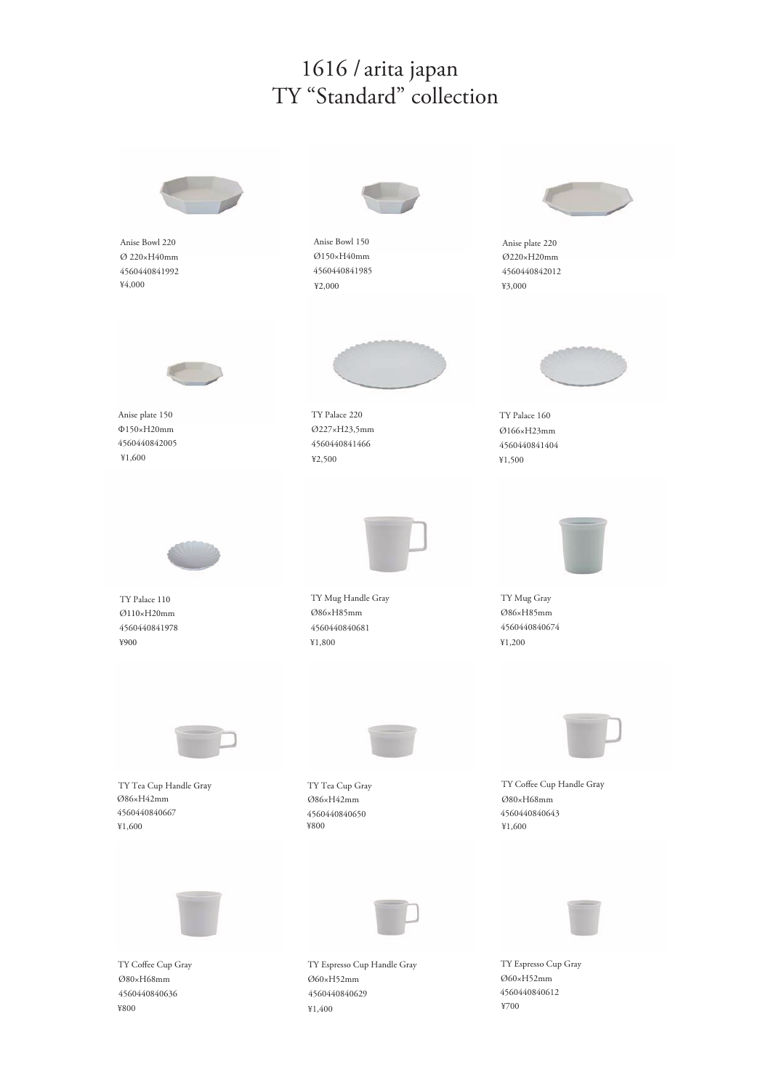## 1616 / arita japan TY "Standard" collection

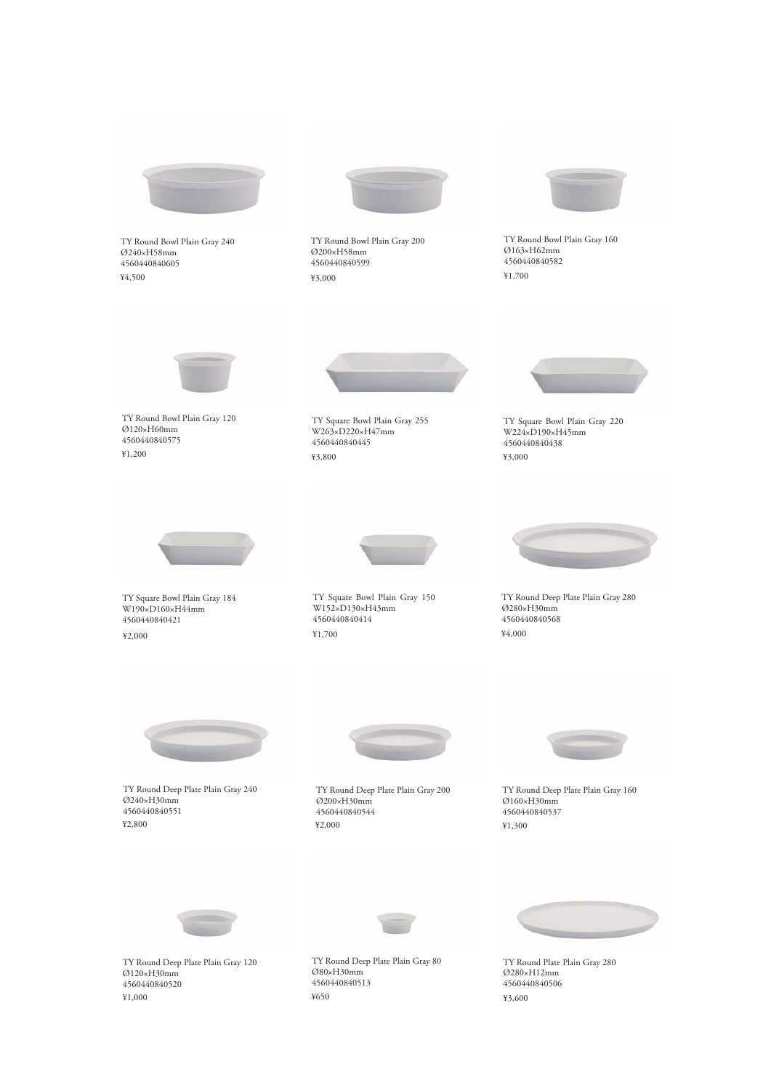

TY Round Deep Plate Plain Gray 120 Ø120×H30mm 4560440840520 ¥1,000

TY Round Deep Plate Plain Gray 80 Ø80×H30mm 4560440840513 ¥650

TY Round Plate Plain Gray 280 Ø280×H12mm 4560440840506 ¥3,600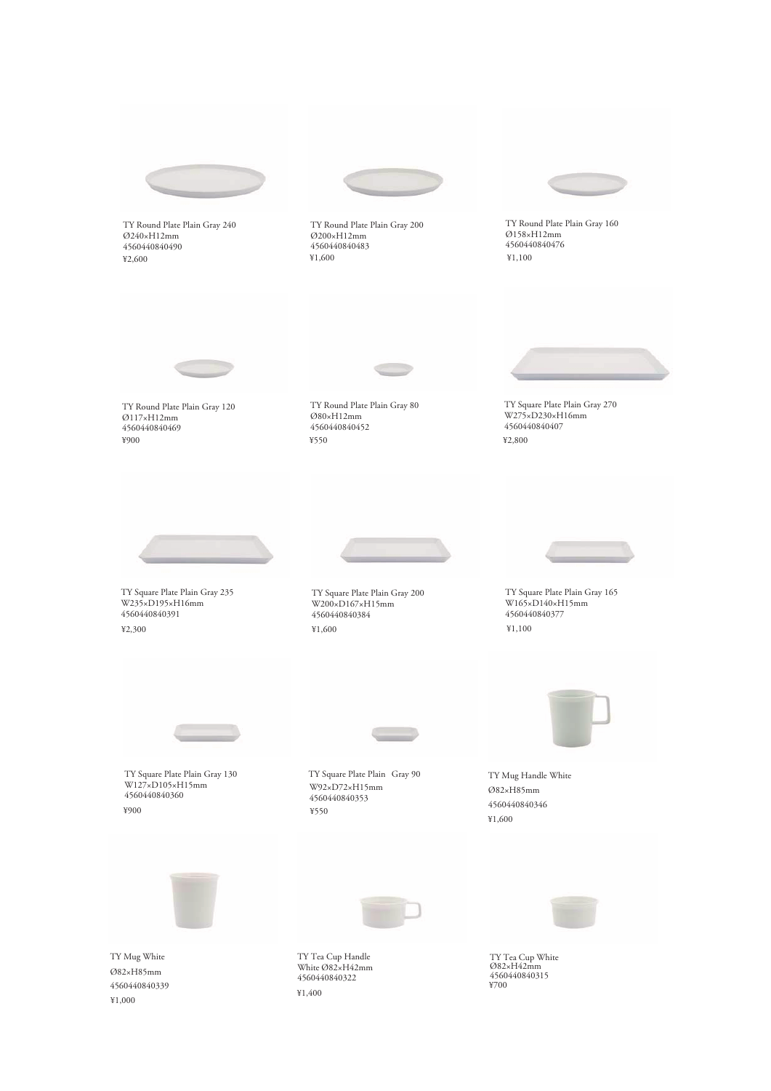

TY Round Plate Plain Gray 240 Ø240×H12mm 4560440840490 ¥2,600

TY Round Plate Plain Gray 200 Ø200×H12mm 4560440840483 ¥1,600



TY Round Plate Plain Gray 160 Ø158×H12mm 4560440840476 ¥1,100



TY Round Plate Plain Gray 120 Ø117×H12mm 4560440840469 ¥900

TY Round Plate Plain Gray 80 Ø80×H12mm 4560440840452 ¥550



TY Square Plate Plain Gray 270 W275×D230×H16mm 4560440840407 ¥2,800



TY Square Plate Plain Gray 235 W235×D195×H16mm 4560440840391 ¥2,300



TY Square Plate Plain Gray 200 W200×D167×H15mm 4560440840384 ¥1,600



TY Square Plate Plain Gray 165 W165×D140×H15mm 4560440840377 ¥1,100



TY Square Plate Plain Gray 130 W127×D105×H15mm 4560440840360 ¥900

TY Square Plate Plain Gray 90 W92×D72×H15mm 4560440840353 ¥550

TY Mug Handle White Ø82×H85mm 4560440840346 ¥1,600



TY Mug White Ø82×H85mm 4560440840339 ¥1,000



TY Tea Cup Handle White Ø82×H42mm 4560440840322 ¥1,400



TY Tea Cup White Ø82×H42mm 4560440840315 ¥700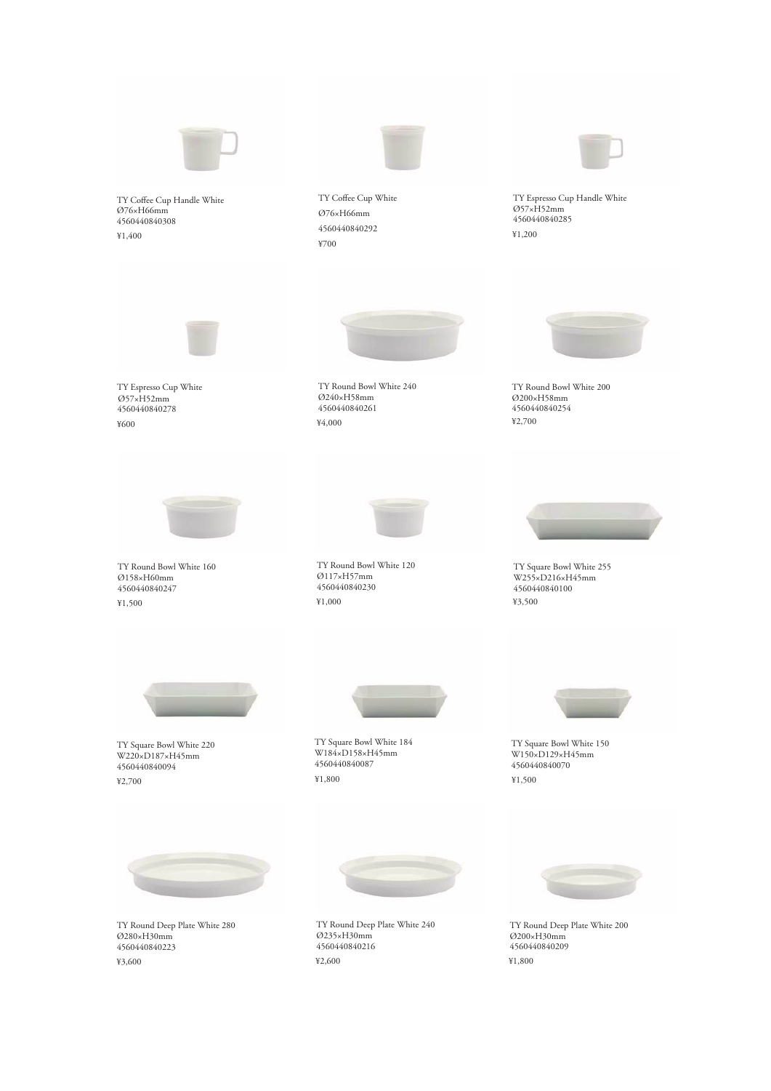

TY Coffee Cup Handle White Ø76×H66mm 4560440840308 ¥1,400



TY Coffee Cup White Ø76×H66mm 4560440840292 ¥700



TY Espresso Cup Handle White Ø57×H52mm 4560440840285 ¥1,200



TY Espresso Cup White ¥600 Ø57×H52mm 4560440840278



TY Round Bowl White 240 Ø240×H58mm 4560440840261 ¥4,000



TY Round Bowl White 200 Ø200×H58mm 4560440840254 ¥2,700



TY Round Bowl White 160 Ø158×H60mm 4560440840247 ¥1,500



TY Round Bowl White 120 Ø117×H57mm 4560440840230 ¥1,000



TY Square Bowl White 255 W255×D216×H45mm 4560440840100 ¥3,500



TY Square Bowl White 220 W220×D187×H45mm 4560440840094 ¥2,700



TY Square Bowl White 184 W184×D158×H45mm 4560440840087 ¥1,800



TY Square Bowl White 150 W150×D129×H45mm 4560440840070 ¥1,500



TY Round Deep Plate White 280 Ø280×H30mm 4560440840223 ¥3,600



TY Round Deep Plate White 240 Ø235×H30mm 4560440840216 ¥2,600



TY Round Deep Plate White 200 Ø200×H30mm 4560440840209 ¥1,800